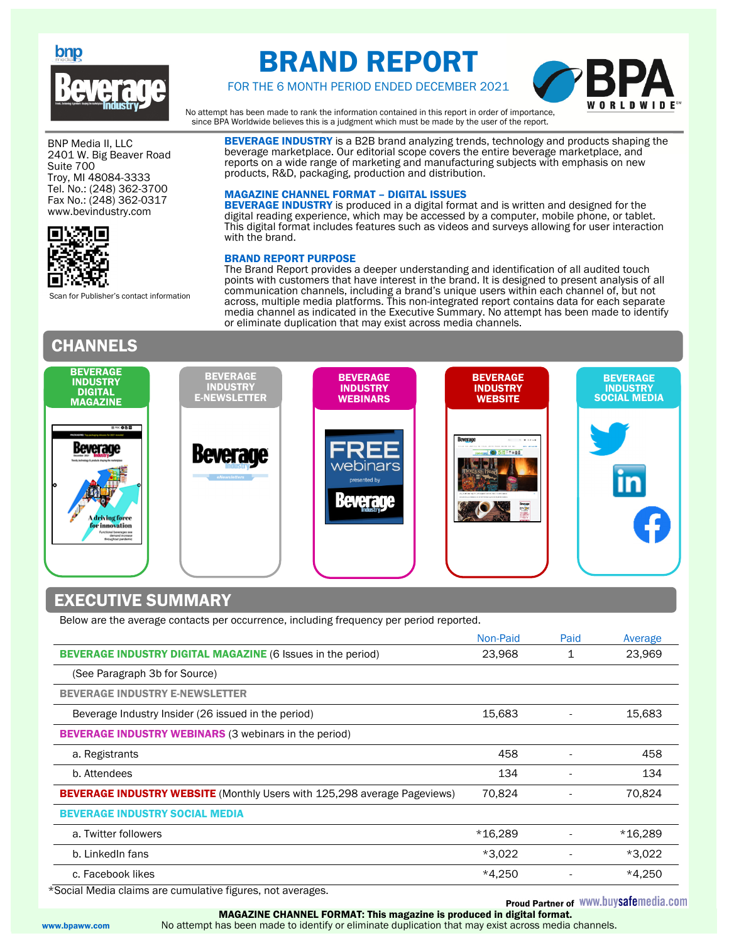



BNP Media II, LLC 2401 W. Big Beaver Road Suite 700 Troy, MI 48084-3333 Tel. No.: (248) 362-3700 Fax No.: (248) 362-0317 www.bevindustry.com



Scan for Publisher's contact information

### CHANNELS

# BRAND REPORT



FOR THE 6 MONTH PERIOD ENDED DECEMBER 2021

No attempt has been made to rank the information contained in this report in order of importance, since BPA Worldwide believes this is a judgment which must be made by the user of the report.

**BEVERAGE INDUSTRY** is a B2B brand analyzing trends, technology and products shaping the beverage marketplace. Our editorial scope covers the entire beverage marketplace, and reports on a wide range of marketing and manufacturing subjects with emphasis on new products, R&D, packaging, production and distribution.

#### MAGAZINE CHANNEL FORMAT – DIGITAL ISSUES

**BEVERAGE INDUSTRY** is produced in a digital format and is written and designed for the digital reading experience, which may be accessed by a computer, mobile phone, or tablet. This digital format includes features such as videos and surveys allowing for user interaction with the brand.

#### BRAND REPORT PURPOSE

The Brand Report provides a deeper understanding and identification of all audited touch points with customers that have interest in the brand. It is designed to present analysis of all communication channels, including a brand's unique users within each channel of, but not across, multiple media platforms. This non-integrated report contains data for each separate media channel as indicated in the Executive Summary. No attempt has been made to identify or eliminate duplication that may exist across media channels.



### EXECUTIVE SUMMARY

Below are the average contacts per occurrence, including frequency per period reported.

|                                                                                 | Non-Paid | Paid | Average   |
|---------------------------------------------------------------------------------|----------|------|-----------|
| <b>BEVERAGE INDUSTRY DIGITAL MAGAZINE (6 Issues in the period)</b>              | 23,968   |      | 23,969    |
| (See Paragraph 3b for Source)                                                   |          |      |           |
| <b>BEVERAGE INDUSTRY E-NEWSLETTER</b>                                           |          |      |           |
| Beverage Industry Insider (26 issued in the period)                             | 15,683   |      | 15,683    |
| <b>BEVERAGE INDUSTRY WEBINARS (3 webinars in the period)</b>                    |          |      |           |
| a. Registrants                                                                  | 458      |      | 458       |
| b. Attendees                                                                    | 134      |      | 134       |
| <b>BEVERAGE INDUSTRY WEBSITE</b> (Monthly Users with 125,298 average Pageviews) | 70,824   |      | 70,824    |
| <b>BEVERAGE INDUSTRY SOCIAL MEDIA</b>                                           |          |      |           |
| a. Twitter followers                                                            | *16.289  |      | $*16,289$ |
| b. LinkedIn fans                                                                | $*3,022$ |      | $*3.022$  |
| c. Facebook likes                                                               | $*4.250$ |      | $*4.250$  |

\*Social Media claims are cumulative figures, not averages.

**Proud Partner of WWW.buysafemedia.com** 

 MAGAZINE CHANNEL FORMAT: This magazine is produced in digital format. www.bpaww.com No attempt has been made to identify or eliminate duplication that may exist across media channels.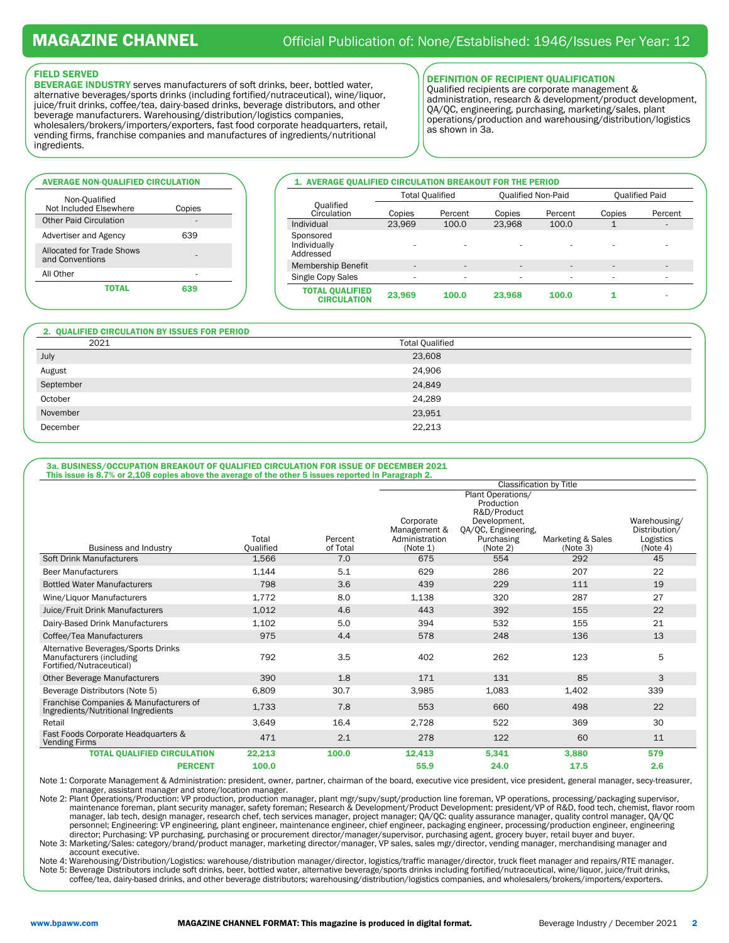֖֖֖֖֖֖֖֖֖֖֖֪֪ׅ֖֖֪֪֪֦֖֧֪֪֪֪֪֦֖֧֪֪֧֖֧֚֚֚֚֚֚֚֚֚֚֚֚֚֚֚֚֚֚֚֬֝֝֝֝֝֝֝֝֬֝֬֝֬֝֬֝֬

#### FIELD SERVED

**BEVERAGE INDUSTRY** serves manufacturers of soft drinks, beer, bottled water, alternative beverages/sports drinks (including fortified/nutraceutical), wine/liquor, juice/fruit drinks, coffee/tea, dairy-based drinks, beverage distributors, and other beverage manufacturers. Warehousing/distribution/logistics companies, wholesalers/brokers/importers/exporters, fast food corporate headquarters, retail, vending firms, franchise companies and manufactures of ingredients/nutritional ingredients.

#### DEFINITION OF RECIPIENT QUALIFICATION

Qualified recipients are corporate management & administration, research & development/product development, QA/QC, engineering, purchasing, marketing/sales, plant operations/production and warehousing/distribution/logistics as shown in 3a.

### AVERAGE NON-QUALIFIED CIRCULATION Non-Qualified Not Included Elsewhere Copies **Other Paid Circulation** Advertiser and Agency 639 Allocated for Trade Shows and Conventions All Other TOTAL 639

| 1. AVERAGE QUALIFIED CIRCULATION BREAKOUT FOR THE PERIOD |        |                        |                           |         |                       |         |  |
|----------------------------------------------------------|--------|------------------------|---------------------------|---------|-----------------------|---------|--|
|                                                          |        | <b>Total Qualified</b> | <b>Qualified Non-Paid</b> |         | <b>Qualified Paid</b> |         |  |
| Qualified<br>Circulation                                 | Copies | Percent                | Copies                    | Percent | Copies                | Percent |  |
| Individual                                               | 23.969 | 100.0                  | 23.968                    | 100.0   |                       |         |  |
| Sponsored<br>Individually<br>Addressed                   | ۰      | ۰                      | ٠                         | ۰       |                       |         |  |
| <b>Membership Benefit</b>                                | ۰      | ۰                      | $\overline{\phantom{a}}$  | ۰       |                       |         |  |
| Single Copy Sales                                        | ۰      | ۰                      | ۰                         | ٠       | ٠                     |         |  |
| <b>TOTAL QUALIFIED</b><br><b>CIRCULATION</b>             | 23,969 | 100.0                  | 23,968                    | 100.0   |                       |         |  |

| 2. QUALIFIED CIRCULATION BY ISSUES FOR PERIOD |                        |  |
|-----------------------------------------------|------------------------|--|
| 2021                                          | <b>Total Qualified</b> |  |
| July                                          | 23,608                 |  |
| August                                        | 24,906                 |  |
| September                                     | 24,849                 |  |
| October                                       | 24,289                 |  |
| November                                      | 23,951                 |  |
| December                                      | 22,213                 |  |

#### 3a. BUSINESS/OCCUPATION BREAKOUT OF QUALIFIED CIRCULATION FOR ISSUE OF DECEMBER 2021 This issue is 8.7% or 2,108 copies above the average of the other 5 issues reported in Paragraph 2.

|                                                                                             |           |          | Classification by Title                     |                                                   |                   |                                            |
|---------------------------------------------------------------------------------------------|-----------|----------|---------------------------------------------|---------------------------------------------------|-------------------|--------------------------------------------|
|                                                                                             |           |          |                                             | Plant Operations/                                 |                   |                                            |
|                                                                                             |           |          |                                             | Production<br>R&D/Product                         |                   |                                            |
|                                                                                             | Total     | Percent  | Corporate<br>Management &<br>Administration | Development,<br>QA/QC, Engineering,<br>Purchasing | Marketing & Sales | Warehousing/<br>Distribution/<br>Logistics |
| <b>Business and Industry</b>                                                                | Qualified | of Total | (Note 1)                                    | (Note 2)                                          | (Note 3)          | (Note 4)                                   |
| Soft Drink Manufacturers                                                                    | 1,566     | 7.0      | 675                                         | 554                                               | 292               | 45                                         |
| <b>Beer Manufacturers</b>                                                                   | 1,144     | 5.1      | 629                                         | 286                                               | 207               | 22                                         |
| <b>Bottled Water Manufacturers</b>                                                          | 798       | 3.6      | 439                                         | 229                                               | 111               | 19                                         |
| Wine/Liquor Manufacturers                                                                   | 1,772     | 8.0      | 1,138                                       | 320                                               | 287               | 27                                         |
| Juice/Fruit Drink Manufacturers                                                             | 1,012     | 4.6      | 443                                         | 392                                               | 155               | 22                                         |
| Dairy-Based Drink Manufacturers                                                             | 1,102     | 5.0      | 394                                         | 532                                               | 155               | 21                                         |
| Coffee/Tea Manufacturers                                                                    | 975       | 4.4      | 578                                         | 248                                               | 136               | 13                                         |
| Alternative Beverages/Sports Drinks<br>Manufacturers (including<br>Fortified/Nutraceutical) | 792       | 3.5      | 402                                         | 262                                               | 123               | 5                                          |
| Other Beverage Manufacturers                                                                | 390       | 1.8      | 171                                         | 131                                               | 85                | 3                                          |
| Beverage Distributors (Note 5)                                                              | 6,809     | 30.7     | 3,985                                       | 1,083                                             | 1,402             | 339                                        |
| Franchise Companies & Manufacturers of<br>Ingredients/Nutritional Ingredients               | 1,733     | 7.8      | 553                                         | 660                                               | 498               | 22                                         |
| Retail                                                                                      | 3,649     | 16.4     | 2,728                                       | 522                                               | 369               | 30                                         |
| Fast Foods Corporate Headquarters &<br><b>Vending Firms</b>                                 | 471       | 2.1      | 278                                         | 122                                               | 60                | 11                                         |
| <b>TOTAL QUALIFIED CIRCULATION</b>                                                          | 22,213    | 100.0    | 12,413                                      | 5,341                                             | 3,880             | 579                                        |
| <b>PERCENT</b>                                                                              | 100.0     |          | 55.9                                        | 24.0                                              | 17.5              | 2.6                                        |

Note 1: Corporate Management & Administration: president, owner, partner, chairman of the board, executive vice president, vice president, general manager, secy-treasurer, manager, assistant manager and store/location manager.

Note 2: Plant Operations/Production: VP production, production manager, plant mgr/supv/supt/production line foreman, VP operations, processing/packaging supervisor, maintenance foreman, plant security manager, safety foreman; Research & Development/Product Development: president/VP of R&D, food tech, chemist, flavor room manager, lab tech, design manager, research chef, tech services manager, project manager; QA/QC: quality assurance manager, quality control manager, QA/QC personnel; Engineering: VP engineering, plant engineer, maintenance engineer, chief engineer, packaging engineer, processing/production engineer, engineering<br>director; Purchasing: VP purchasing, purchasing or procurement d Note 3: Marketing/Sales: category/brand/product manager, marketing director/manager, VP sales, sales mgr/director, vending manager, merchandising manager and

account executive. Note 4: Warehousing/Distribution/Logistics: warehouse/distribution manager/director, logistics/traffic manager/director, truck fleet manager and repairs/RTE manager. Note 5: Beverage Distributors include soft drinks, beer, bottled water, alternative beverage/sports drinks including fortified/nutraceutical, wine/liquor, juice/fruit drinks, coffee/tea, dairy-based drinks, and other beverage distributors; warehousing/distribution/logistics companies, and wholesalers/brokers/importers/exporters.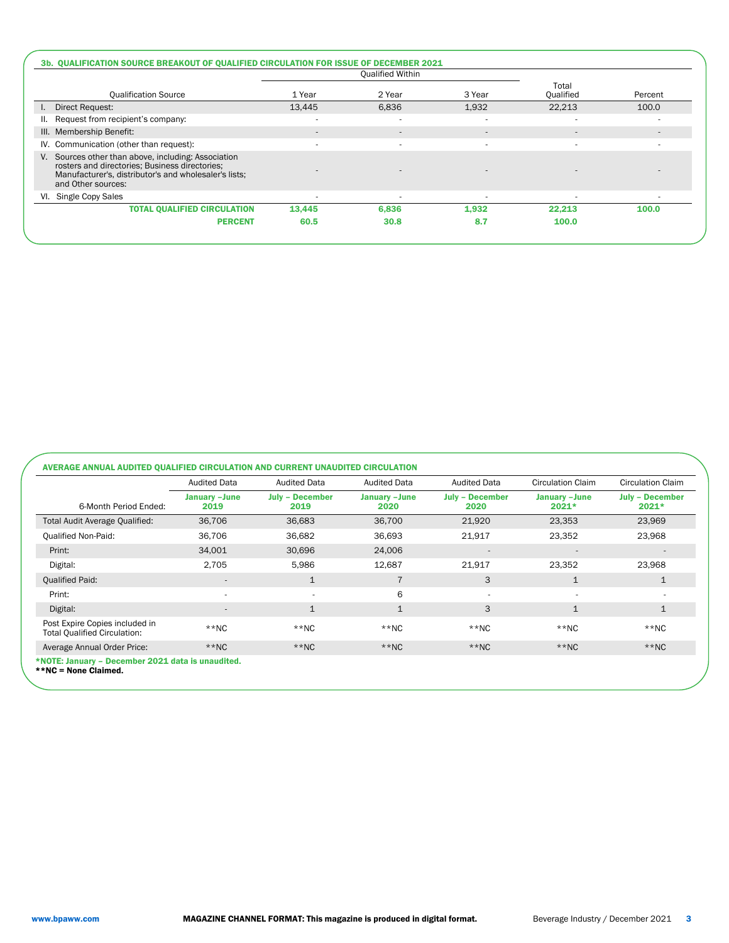|                                                                                                                                                                                      |                          | <b>Qualified Within</b>  |                          |                          |                          |
|--------------------------------------------------------------------------------------------------------------------------------------------------------------------------------------|--------------------------|--------------------------|--------------------------|--------------------------|--------------------------|
| <b>Qualification Source</b>                                                                                                                                                          | 1 Year                   | 2 Year                   | 3 Year                   | Total<br>Qualified       | Percent                  |
| Direct Request:<br>$\mathbf{L}$                                                                                                                                                      | 13.445                   | 6,836                    | 1,932                    | 22,213                   | 100.0                    |
| Request from recipient's company:<br>Ш.                                                                                                                                              | $\overline{\phantom{a}}$ | ۰                        | $\overline{\phantom{a}}$ | $\overline{\phantom{a}}$ |                          |
| III. Membership Benefit:                                                                                                                                                             |                          | $\overline{\phantom{a}}$ | $\overline{\phantom{a}}$ | $\overline{a}$           | $\sim$                   |
| IV. Communication (other than request):                                                                                                                                              |                          | ٠                        | $\overline{\phantom{a}}$ |                          | $\sim$                   |
| V. Sources other than above, including: Association<br>rosters and directories; Business directories;<br>Manufacturer's, distributor's and wholesaler's lists;<br>and Other sources: |                          |                          |                          |                          |                          |
| VI. Single Copy Sales                                                                                                                                                                | $\overline{\phantom{a}}$ | $\overline{a}$           | $\blacksquare$           | $\overline{\phantom{a}}$ | $\overline{\phantom{a}}$ |
| <b>TOTAL QUALIFIED CIRCULATION</b>                                                                                                                                                   | 13,445                   | 6,836                    | 1,932                    | 22,213                   | 100.0                    |
| <b>PERCENT</b>                                                                                                                                                                       | 60.5                     | 30.8                     | 8.7                      | 100.0                    |                          |

|                                                                           | <b>Audited Data</b>    | <b>Audited Data</b>            | <b>Audited Data</b>    | <b>Audited Data</b>            | <b>Circulation Claim</b>  | <b>Circulation Claim</b>          |
|---------------------------------------------------------------------------|------------------------|--------------------------------|------------------------|--------------------------------|---------------------------|-----------------------------------|
| 6-Month Period Ended:                                                     | January - June<br>2019 | <b>July - December</b><br>2019 | January - June<br>2020 | <b>July - December</b><br>2020 | January - June<br>$2021*$ | <b>July - December</b><br>$2021*$ |
| Total Audit Average Qualified:                                            | 36,706                 | 36,683                         | 36,700                 | 21,920                         | 23,353                    | 23,969                            |
| <b>Qualified Non-Paid:</b>                                                | 36,706                 | 36,682                         | 36,693                 | 21,917                         | 23,352                    | 23,968                            |
| Print:                                                                    | 34,001                 | 30,696                         | 24,006                 | $\overline{\phantom{a}}$       | $\overline{\phantom{a}}$  | $\overline{\phantom{a}}$          |
| Digital:                                                                  | 2,705                  | 5,986                          | 12,687                 | 21,917                         | 23,352                    | 23,968                            |
| <b>Qualified Paid:</b>                                                    | $\overline{a}$         | $\mathbf{1}$                   | $\overline{7}$         | 3                              | $\mathbf{1}$              | $\mathbf{1}$                      |
| Print:                                                                    | $\overline{a}$         | ٠                              | 6                      | $\sim$                         | $\overline{\phantom{a}}$  | $\overline{\phantom{a}}$          |
| Digital:                                                                  | $\overline{a}$         | $\mathbf{1}$                   | 1                      | 3                              | $\mathbf{1}$              | $\mathbf{1}$                      |
| Post Expire Copies included in<br><b>Total Qualified Circulation:</b>     | $**NC$                 | $**NC$                         | $**NC$                 | $*$ NC                         | $**NC$                    | $**NC$                            |
| Average Annual Order Price:                                               | $**NC$                 | $*$ NC                         | $**NC$                 | $*$ NC                         | $**NC$                    | $**NC$                            |
| *NOTE: January – December 2021 data is unaudited.<br>**NC = None Claimed. |                        |                                |                        |                                |                           |                                   |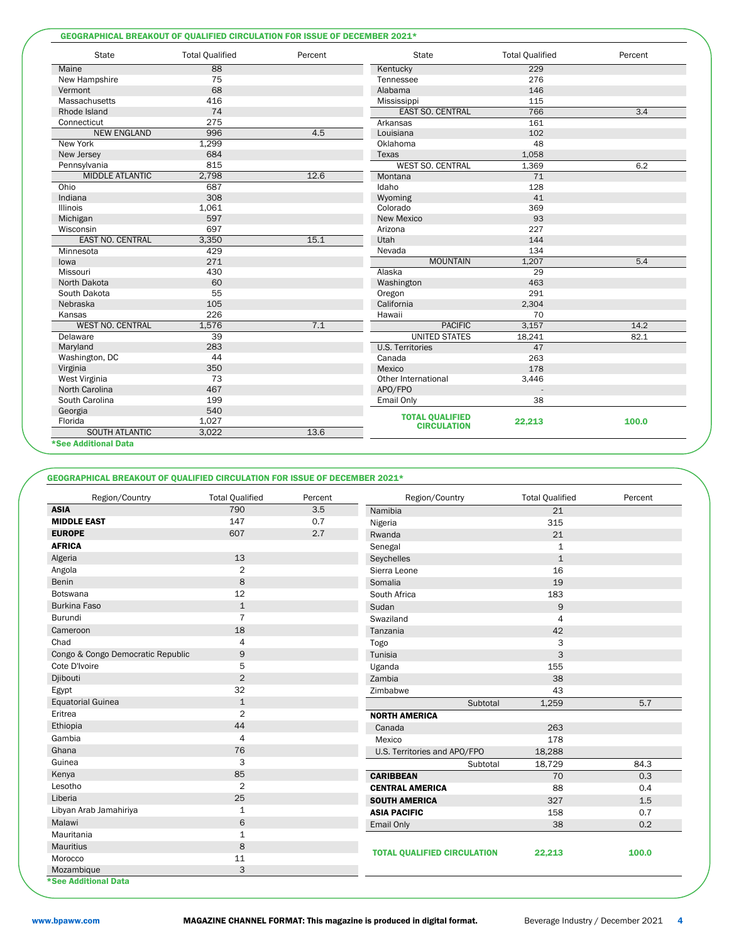#### GEOGRAPHICAL BREAKOUT OF QUALIFIED CIRCULATION FOR ISSUE OF DECEMBER 2021\*

| <b>State</b>            | <b>Total Qualified</b> | Percent | <b>State</b>                                 | <b>Total Qualified</b>   | Percent |
|-------------------------|------------------------|---------|----------------------------------------------|--------------------------|---------|
| Maine                   | 88                     |         | Kentucky                                     | 229                      |         |
| New Hampshire           | 75                     |         | Tennessee                                    | 276                      |         |
| Vermont                 | 68                     |         | Alabama                                      | 146                      |         |
| Massachusetts           | 416                    |         | Mississippi                                  | 115                      |         |
| Rhode Island            | 74                     |         | <b>EAST SO. CENTRAL</b>                      | 766                      | 3.4     |
| Connecticut             | 275                    |         | Arkansas                                     | 161                      |         |
| <b>NEW ENGLAND</b>      | 996                    | 4.5     | Louisiana                                    | 102                      |         |
| New York                | 1,299                  |         | Oklahoma                                     | 48                       |         |
| New Jersey              | 684                    |         | Texas                                        | 1,058                    |         |
| Pennsylvania            | 815                    |         | <b>WEST SO. CENTRAL</b>                      | 1,369                    | 6.2     |
| <b>MIDDLE ATLANTIC</b>  | 2,798                  | 12.6    | Montana                                      | 71                       |         |
| Ohio                    | 687                    |         | Idaho                                        | 128                      |         |
| Indiana                 | 308                    |         | Wyoming                                      | 41                       |         |
| <b>Illinois</b>         | 1,061                  |         | Colorado                                     | 369                      |         |
| Michigan                | 597                    |         | <b>New Mexico</b>                            | 93                       |         |
| Wisconsin               | 697                    |         | Arizona                                      | 227                      |         |
| <b>EAST NO. CENTRAL</b> | 3,350                  | 15.1    | Utah                                         | 144                      |         |
| Minnesota               | 429                    |         | Nevada                                       | 134                      |         |
| lowa                    | 271                    |         | <b>MOUNTAIN</b>                              | 1,207                    | 5.4     |
| Missouri                | 430                    |         | Alaska                                       | 29                       |         |
| North Dakota            | 60                     |         | Washington                                   | 463                      |         |
| South Dakota            | 55                     |         | Oregon                                       | 291                      |         |
| Nebraska                | 105                    |         | California                                   | 2,304                    |         |
| Kansas                  | 226                    |         | Hawaii                                       | 70                       |         |
| <b>WEST NO. CENTRAL</b> | 1,576                  | 7.1     | <b>PACIFIC</b>                               | 3,157                    | 14.2    |
| Delaware                | $\overline{39}$        |         | <b>UNITED STATES</b>                         | 18,241                   | 82.1    |
| Maryland                | 283                    |         | <b>U.S. Territories</b>                      | 47                       |         |
| Washington, DC          | 44                     |         | Canada                                       | 263                      |         |
| Virginia                | 350                    |         | Mexico                                       | 178                      |         |
| West Virginia           | 73                     |         | Other International                          | 3,446                    |         |
| North Carolina          | 467                    |         | APO/FPO                                      | $\overline{\phantom{a}}$ |         |
| South Carolina          | 199                    |         | Email Only                                   | 38                       |         |
| Georgia                 | 540                    |         |                                              |                          |         |
| Florida                 | 1,027                  |         | <b>TOTAL QUALIFIED</b><br><b>CIRCULATION</b> | 22,213                   | 100.0   |
| SOUTH ATLANTIC          | 3.022                  | 13.6    |                                              |                          |         |
| *See Additional Data    |                        |         |                                              |                          |         |

#### GEOGRAPHICAL BREAKOUT OF QUALIFIED CIRCULATION FOR ISSUE OF DECEMBER 2021\*

| Region/Country                    | <b>Total Qualified</b> | Percent | Region/Country                     | <b>Total Qualified</b> | Percent |
|-----------------------------------|------------------------|---------|------------------------------------|------------------------|---------|
| <b>ASIA</b>                       | 790                    | 3.5     | Namibia                            | 21                     |         |
| <b>MIDDLE EAST</b>                | 147                    | 0.7     | Nigeria                            | 315                    |         |
| <b>EUROPE</b>                     | 607                    | 2.7     | Rwanda                             | 21                     |         |
| <b>AFRICA</b>                     |                        |         | Senegal                            | $\mathbf{1}$           |         |
| Algeria                           | 13                     |         | Seychelles                         | $\mathbf{1}$           |         |
| Angola                            | $\overline{2}$         |         | Sierra Leone                       | 16                     |         |
| Benin                             | 8                      |         | Somalia                            | 19                     |         |
| Botswana                          | 12                     |         | South Africa                       | 183                    |         |
| <b>Burkina Faso</b>               | $\mathbf{1}$           |         | Sudan                              | 9                      |         |
| Burundi                           | $\overline{7}$         |         | Swaziland                          | $\overline{4}$         |         |
| Cameroon                          | 18                     |         | Tanzania                           | 42                     |         |
| Chad                              | 4                      |         | Togo                               | 3                      |         |
| Congo & Congo Democratic Republic | 9                      |         | Tunisia                            | 3                      |         |
| Cote D'Ivoire                     | 5                      |         | Uganda                             | 155                    |         |
| Djibouti                          | $\overline{2}$         |         | Zambia                             | 38                     |         |
| Egypt                             | 32                     |         | Zimbabwe                           | 43                     |         |
| <b>Equatorial Guinea</b>          | $\mathbf{1}$           |         | Subtotal                           | 1,259                  | 5.7     |
| Eritrea                           | $\overline{2}$         |         | <b>NORTH AMERICA</b>               |                        |         |
| Ethiopia                          | 44                     |         | Canada                             | 263                    |         |
| Gambia                            | $\overline{4}$         |         | Mexico                             | 178                    |         |
| Ghana                             | 76                     |         | U.S. Territories and APO/FPO       | 18,288                 |         |
| Guinea                            | 3                      |         | Subtotal                           | 18,729                 | 84.3    |
| Kenya                             | 85                     |         | <b>CARIBBEAN</b>                   | 70                     | 0.3     |
| Lesotho                           | $\overline{2}$         |         | <b>CENTRAL AMERICA</b>             | 88                     | 0.4     |
| Liberia                           | 25                     |         | <b>SOUTH AMERICA</b>               | 327                    | 1.5     |
| Libyan Arab Jamahiriya            | $1\,$                  |         | <b>ASIA PACIFIC</b>                | 158                    | 0.7     |
| Malawi                            | 6                      |         | <b>Email Only</b>                  | 38                     | 0.2     |
| Mauritania                        | $\mathbf{1}$           |         |                                    |                        |         |
| Mauritius                         | 8                      |         |                                    |                        |         |
| Morocco                           | 11                     |         | <b>TOTAL QUALIFIED CIRCULATION</b> | 22,213                 | 100.0   |
| Mozambique                        | 3                      |         |                                    |                        |         |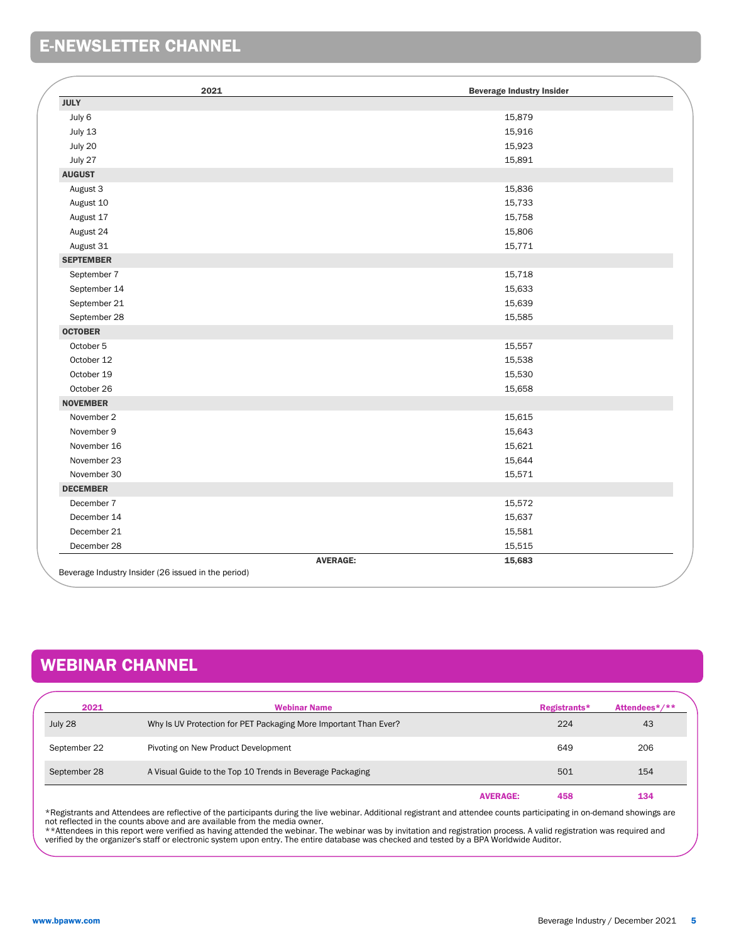## E-NEWSLETTER CHANNEL

|                  | 2021            | <b>Beverage Industry Insider</b> |  |
|------------------|-----------------|----------------------------------|--|
| <b>JULY</b>      |                 |                                  |  |
| July 6           |                 | 15,879                           |  |
| July 13          |                 | 15,916                           |  |
| July 20          |                 | 15,923                           |  |
| July 27          |                 | 15,891                           |  |
| <b>AUGUST</b>    |                 |                                  |  |
| August 3         |                 | 15,836                           |  |
| August 10        |                 | 15,733                           |  |
| August 17        |                 | 15,758                           |  |
| August 24        |                 | 15,806                           |  |
| August 31        |                 | 15,771                           |  |
| <b>SEPTEMBER</b> |                 |                                  |  |
| September 7      |                 | 15,718                           |  |
| September 14     |                 | 15,633                           |  |
| September 21     |                 | 15,639                           |  |
| September 28     |                 | 15,585                           |  |
| <b>OCTOBER</b>   |                 |                                  |  |
| October 5        |                 | 15,557                           |  |
| October 12       |                 | 15,538                           |  |
| October 19       |                 | 15,530                           |  |
| October 26       |                 | 15,658                           |  |
| <b>NOVEMBER</b>  |                 |                                  |  |
| November 2       |                 | 15,615                           |  |
| November 9       |                 | 15,643                           |  |
| November 16      |                 | 15,621                           |  |
| November 23      |                 | 15,644                           |  |
| November 30      |                 | 15,571                           |  |
| <b>DECEMBER</b>  |                 |                                  |  |
| December 7       |                 | 15,572                           |  |
| December 14      |                 | 15,637                           |  |
| December 21      |                 | 15,581                           |  |
| December 28      |                 | 15,515                           |  |
|                  | <b>AVERAGE:</b> | 15,683                           |  |

### WEBINAR CHANNEL

| 2021         | <b>Webinar Name</b>                                              |                 | Registrants* | Attendees*/** |
|--------------|------------------------------------------------------------------|-----------------|--------------|---------------|
| July 28      | Why Is UV Protection for PET Packaging More Important Than Ever? |                 | 224          | 43            |
| September 22 | Pivoting on New Product Development                              |                 | 649          | 206           |
| September 28 | A Visual Guide to the Top 10 Trends in Beverage Packaging        |                 | 501          | 154           |
|              |                                                                  | <b>AVERAGE:</b> | 458          | 134           |

\*Registrants and Attendees are reflective of the participants during the live webinar. Additional registrant and attendee counts participating in on-demand showings are<br>not reflected in the counts above and are available f